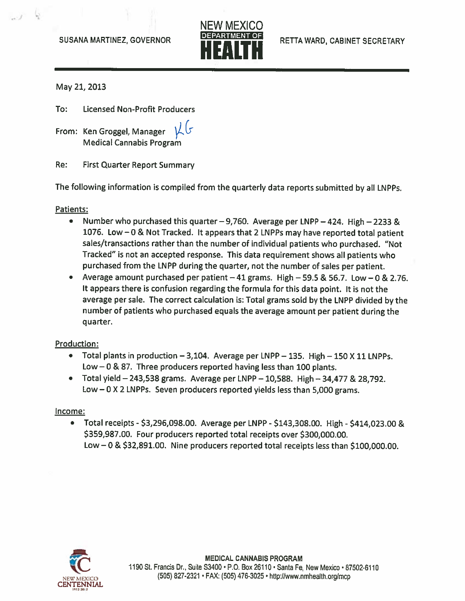

May 21, 2013

To: Licensed Non-Profit Producers

From: Ken Groggel, Manager Medical Cannabis Program

Re: First Quarter Report Summary

The following information is compiled from the quarterly data reports submitted by all LNPPs.

Patients:

- • Number who purchased this quarter —9,760. Average per LNPP —424. High —2233 & 1076. Low —0 & Not Tracked. It appears that <sup>2</sup> LNPPs may have reported total patient sales/transactions rather than the number of individual patients who purchased. "Not Tracked" is not an accepted response. This data requirement shows all patients who purchased from the LNPP during the quarter, not the number of sales per patient.
- Average amount purchased per patient  $-41$  grams. High  $-59.5$  & 56.7. Low  $-0$  & 2.76. It appears there is confusion regarding the formula for this data point. It is not the average per sale. The correct calculation is: Total grams sold by the LNPP divided by the number of patients who purchased equals the average amount per patient during the quarter.

# Production:

- Total plants in production  $-3,104$ . Average per LNPP  $-135$ . High  $-150$  X 11 LNPPs. Low —0 & 87. Three producers reported having less than 100 plants.
- Total <sup>y</sup>ield —243,538 grams. Average per LNPP —10,588. High —34,477 & 28,792. Low—OX <sup>2</sup> LNPPs. Seven producers reported <sup>y</sup>ields less than 5,000 grams.

### Income:

•Total receipts - \$3,296,098.00. Average per LNPP - \$143,308.00. High - \$414,023.00 & \$359,987.00. Four producers reported total receipts over \$300,000.00. Low —0 & \$32,891.00. Nine producers reported total receipts less than \$100,000.00.